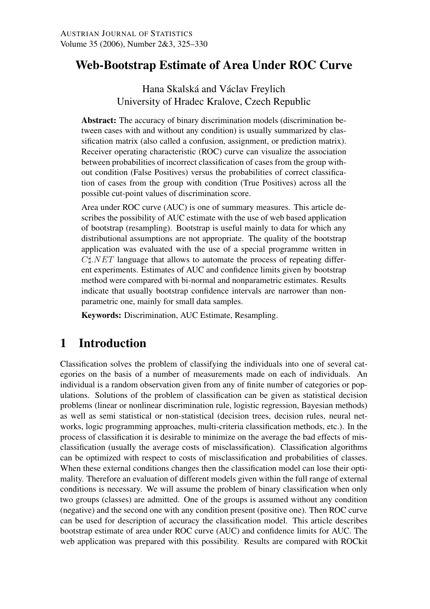# Web-Bootstrap Estimate of Area Under ROC Curve

Hana Skalská and Václav Freylich University of Hradec Kralove, Czech Republic

Abstract: The accuracy of binary discrimination models (discrimination between cases with and without any condition) is usually summarized by classification matrix (also called a confusion, assignment, or prediction matrix). Receiver operating characteristic (ROC) curve can visualize the association between probabilities of incorrect classification of cases from the group without condition (False Positives) versus the probabilities of correct classification of cases from the group with condition (True Positives) across all the possible cut-point values of discrimination score.

Area under ROC curve (AUC) is one of summary measures. This article describes the possibility of AUC estimate with the use of web based application of bootstrap (resampling). Bootstrap is useful mainly to data for which any distributional assumptions are not appropriate. The quality of the bootstrap application was evaluated with the use of a special programme written in  $C\sharp NET$  language that allows to automate the process of repeating different experiments. Estimates of AUC and confidence limits given by bootstrap method were compared with bi-normal and nonparametric estimates. Results indicate that usually bootstrap confidence intervals are narrower than nonparametric one, mainly for small data samples.

Keywords: Discrimination, AUC Estimate, Resampling.

## 1 Introduction

Classification solves the problem of classifying the individuals into one of several categories on the basis of a number of measurements made on each of individuals. An individual is a random observation given from any of finite number of categories or populations. Solutions of the problem of classification can be given as statistical decision problems (linear or nonlinear discrimination rule, logistic regression, Bayesian methods) as well as semi statistical or non-statistical (decision trees, decision rules, neural networks, logic programming approaches, multi-criteria classification methods, etc.). In the process of classification it is desirable to minimize on the average the bad effects of misclassification (usually the average costs of misclassification). Classification algorithms can be optimized with respect to costs of misclassification and probabilities of classes. When these external conditions changes then the classification model can lose their optimality. Therefore an evaluation of different models given within the full range of external conditions is necessary. We will assume the problem of binary classification when only two groups (classes) are admitted. One of the groups is assumed without any condition (negative) and the second one with any condition present (positive one). Then ROC curve can be used for description of accuracy the classification model. This article describes bootstrap estimate of area under ROC curve (AUC) and confidence limits for AUC. The web application was prepared with this possibility. Results are compared with ROCkit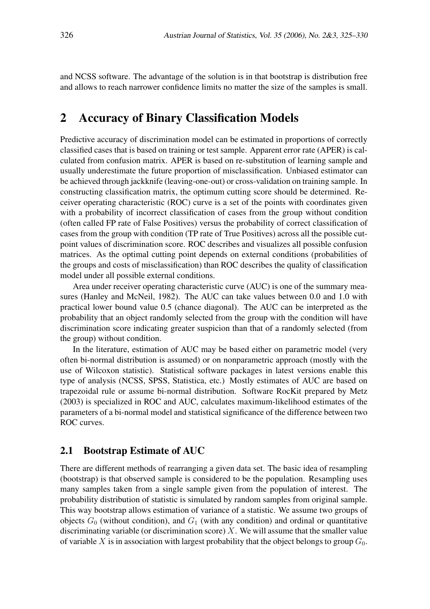and NCSS software. The advantage of the solution is in that bootstrap is distribution free and allows to reach narrower confidence limits no matter the size of the samples is small.

## 2 Accuracy of Binary Classification Models

Predictive accuracy of discrimination model can be estimated in proportions of correctly classified cases that is based on training or test sample. Apparent error rate (APER) is calculated from confusion matrix. APER is based on re-substitution of learning sample and usually underestimate the future proportion of misclassification. Unbiased estimator can be achieved through jackknife (leaving-one-out) or cross-validation on training sample. In constructing classification matrix, the optimum cutting score should be determined. Receiver operating characteristic (ROC) curve is a set of the points with coordinates given with a probability of incorrect classification of cases from the group without condition (often called FP rate of False Positives) versus the probability of correct classification of cases from the group with condition (TP rate of True Positives) across all the possible cutpoint values of discrimination score. ROC describes and visualizes all possible confusion matrices. As the optimal cutting point depends on external conditions (probabilities of the groups and costs of misclassification) than ROC describes the quality of classification model under all possible external conditions.

Area under receiver operating characteristic curve (AUC) is one of the summary measures (Hanley and McNeil, 1982). The AUC can take values between 0.0 and 1.0 with practical lower bound value 0.5 (chance diagonal). The AUC can be interpreted as the probability that an object randomly selected from the group with the condition will have discrimination score indicating greater suspicion than that of a randomly selected (from the group) without condition.

In the literature, estimation of AUC may be based either on parametric model (very often bi-normal distribution is assumed) or on nonparametric approach (mostly with the use of Wilcoxon statistic). Statistical software packages in latest versions enable this type of analysis (NCSS, SPSS, Statistica, etc.) Mostly estimates of AUC are based on trapezoidal rule or assume bi-normal distribution. Software RocKit prepared by Metz (2003) is specialized in ROC and AUC, calculates maximum-likelihood estimates of the parameters of a bi-normal model and statistical significance of the difference between two ROC curves.

### 2.1 Bootstrap Estimate of AUC

There are different methods of rearranging a given data set. The basic idea of resampling (bootstrap) is that observed sample is considered to be the population. Resampling uses many samples taken from a single sample given from the population of interest. The probability distribution of statistic is simulated by random samples from original sample. This way bootstrap allows estimation of variance of a statistic. We assume two groups of objects  $G_0$  (without condition), and  $G_1$  (with any condition) and ordinal or quantitative discriminating variable (or discrimination score)  $X$ . We will assume that the smaller value of variable X is in association with largest probability that the object belongs to group  $G_0$ .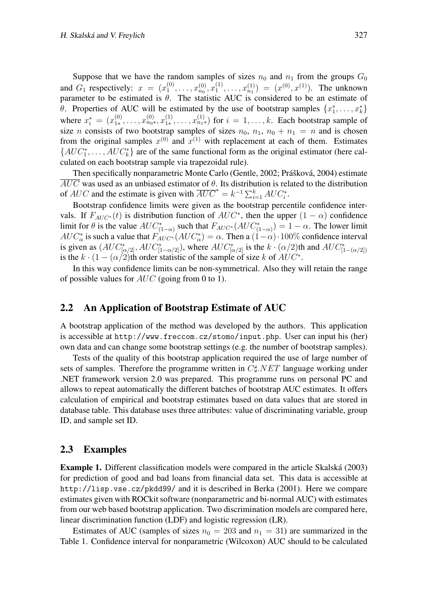Suppose that we have the random samples of sizes  $n_0$  and  $n_1$  from the groups  $G_0$ and  $G_1$  respectively:  $x = (x_1^{(0)})$  $x_1^{(0)}, \ldots, x_{n_0}^{(0)}, x_1^{(1)}$  $\binom{1}{1}, \ldots, x_{n_1}^{(1)} = (x^{(0)}, x^{(1)})$ . The unknown parameter to be estimated is  $\theta$ . The statistic AUC is considered to be an estimate of θ. Properties of AUC will be estimated by the use of bootstrap samples  $\{x_1^*, \ldots, x_k^*\}$ where  $x_i^* = (x_{1*}^{(0)})$  $x_{1*}^{(0)}, \ldots, x_{n_0*}^{(0)}, x_{1*}^{(1)}$  $x_1^{(1)}, \ldots, x_{n_1*}^{(1)}$  for  $i = 1, \ldots, k$ . Each bootstrap sample of size n consists of two bootstrap samples of sizes  $n_0$ ,  $n_1$ ,  $n_0 + n_1 = n$  and is chosen from the original samples  $x^{(0)}$  and  $x^{(1)}$  with replacement at each of them. Estimates  $\{AUC_1^*, \ldots, AUC_k^*\}$  are of the same functional form as the original estimator (here calculated on each bootstrap sample via trapezoidal rule).

Then specifically nonparametric Monte Carlo (Gentle, 2002; Prášková, 2004) estimate  $\overline{AUC}$  was used as an unbiased estimator of  $\theta$ . Its distribution is related to the distribution of AUC and the estimate is given with  $\overline{AUC}^* = k^{-1} \sum_{i=1}^k AUC_i^*$ .

Bootstrap confidence limits were given as the bootstrap percentile confidence intervals. If  $F_{AUC^*}(t)$  is distribution function of  $AUC^*$ , then the upper  $(1 - \alpha)$  confidence limit for  $\theta$  is the value  $AUC^*_{(1-\alpha)}$  such that  $F_{AUC^*}(AUC^*_{(1-\alpha)}) = 1 - \alpha$ . The lower limit  $AUC_{\alpha}^*$  is such a value that  $F_{AUC^*}(AUC_{\alpha}^*) = \alpha$ . Then a  $(1-\alpha) \cdot 100\%$  confidence interval is given as  $(AUC^*_{[\alpha/2]}, AUC^*_{[1-\alpha/2]})$ , where  $AUC^*_{[\alpha/2]}$  is the  $k \cdot (\alpha/2)$ th and  $AUC^*_{[1-(\alpha/2])}$ is the  $k \cdot (1 - (\alpha/2)$ th order statistic of the sample of size k of  $AUC^*$ .

In this way confidence limits can be non-symmetrical. Also they will retain the range of possible values for  $AUC$  (going from 0 to 1).

### 2.2 An Application of Bootstrap Estimate of AUC

A bootstrap application of the method was developed by the authors. This application is accessible at http://www.freccom.cz/stomo/input.php. User can input his (her) own data and can change some bootstrap settings (e.g. the number of bootstrap samples).

Tests of the quality of this bootstrap application required the use of large number of sets of samples. Therefore the programme written in  $C\sharp NET$  language working under .NET framework version 2.0 was prepared. This programme runs on personal PC and allows to repeat automatically the different batches of bootstrap AUC estimates. It offers calculation of empirical and bootstrap estimates based on data values that are stored in database table. This database uses three attributes: value of discriminating variable, group ID, and sample set ID.

#### 2.3 Examples

**Example 1.** Different classification models were compared in the article Skalská (2003) for prediction of good and bad loans from financial data set. This data is accessible at http://lisp.vse.cz/pkdd99/ and it is described in Berka (2001). Here we compare estimates given with ROCkit software (nonparametric and bi-normal AUC) with estimates from our web based bootstrap application. Two discrimination models are compared here, linear discrimination function (LDF) and logistic regression (LR).

Estimates of AUC (samples of sizes  $n_0 = 203$  and  $n_1 = 31$ ) are summarized in the Table 1. Confidence interval for nonparametric (Wilcoxon) AUC should to be calculated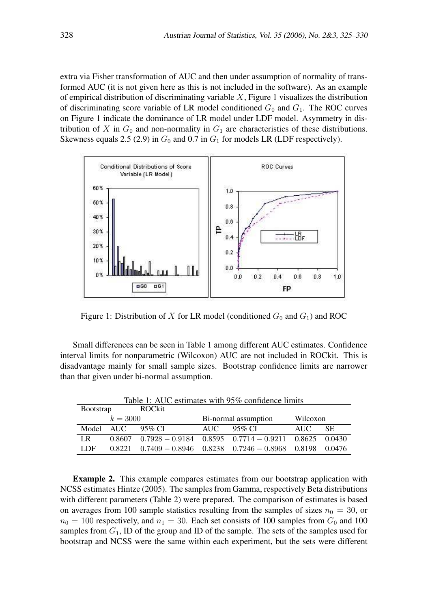extra via Fisher transformation of AUC and then under assumption of normality of transformed AUC (it is not given here as this is not included in the software). As an example of empirical distribution of discriminating variable  $X$ , Figure 1 visualizes the distribution of discriminating score variable of LR model conditioned  $G_0$  and  $G_1$ . The ROC curves on Figure 1 indicate the dominance of LR model under LDF model. Asymmetry in distribution of X in  $G_0$  and non-normality in  $G_1$  are characteristics of these distributions. Skewness equals 2.5 (2.9) in  $G_0$  and 0.7 in  $G_1$  for models LR (LDF respectively).



Figure 1: Distribution of X for LR model (conditioned  $G_0$  and  $G_1$ ) and ROC

Small differences can be seen in Table 1 among different AUC estimates. Confidence interval limits for nonparametric (Wilcoxon) AUC are not included in ROCkit. This is disadvantage mainly for small sample sizes. Bootstrap confidence limits are narrower than that given under bi-normal assumption.

| Table 1: AUC estimates with 95% confidence limits |            |        |                      |                                                                         |          |           |  |
|---------------------------------------------------|------------|--------|----------------------|-------------------------------------------------------------------------|----------|-----------|--|
| <b>Bootstrap</b>                                  |            | ROCkit |                      |                                                                         |          |           |  |
| $k = 3000$                                        |            |        | Bi-normal assumption |                                                                         | Wilcoxon |           |  |
| Model                                             | <b>AUC</b> | 95% CI | AUC –                | - 95% CI                                                                | AUC.     | <b>SE</b> |  |
| LR.                                               |            |        |                      | $0.8607$ $0.7928 - 0.9184$ $0.8595$ $0.7714 - 0.9211$ $0.8625$ $0.0430$ |          |           |  |
| LDF                                               |            |        |                      | $0.8221$ $0.7409 - 0.8946$ $0.8238$ $0.7246 - 0.8968$ $0.8198$ $0.0476$ |          |           |  |

Example 2. This example compares estimates from our bootstrap application with NCSS estimates Hintze (2005). The samples from Gamma, respectively Beta distributions with different parameters (Table 2) were prepared. The comparison of estimates is based on averages from 100 sample statistics resulting from the samples of sizes  $n_0 = 30$ , or  $n_0 = 100$  respectively, and  $n_1 = 30$ . Each set consists of 100 samples from  $G_0$  and 100 samples from  $G_1$ , ID of the group and ID of the sample. The sets of the samples used for bootstrap and NCSS were the same within each experiment, but the sets were different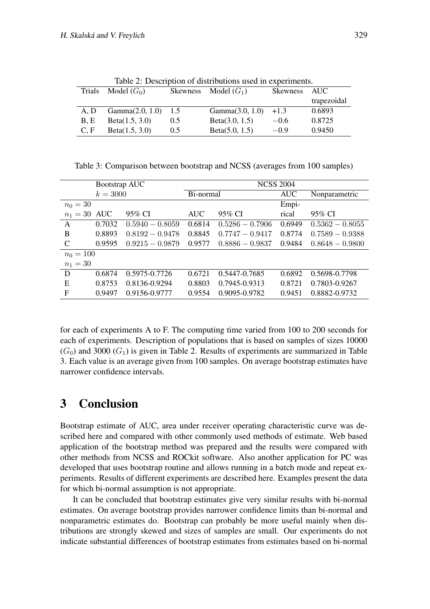| Table 2: Description of distributions used in experiments. |                 |     |                        |          |             |  |  |
|------------------------------------------------------------|-----------------|-----|------------------------|----------|-------------|--|--|
| Trials                                                     | Model $(G_0)$   |     | Skewness Model $(G_1)$ | Skewness | AUC         |  |  |
|                                                            |                 |     |                        |          | trapezoidal |  |  |
| A.D                                                        | Gamma(2.0, 1.0) | 1.5 | Gamma(3.0, 1.0)        | $+1.3$   | 0.6893      |  |  |
| B.E                                                        | Beta(1.5, 3.0)  | 0.5 | Beta(3.0, 1.5)         | $-0.6$   | 0.8725      |  |  |
| C, F                                                       | Beta(1.5, 3.0)  | 0.5 | Beta(5.0, 1.5)         | $-0.9$   | 0.9450      |  |  |

Table 2: Description of distributions used in experiments.

Table 3: Comparison between bootstrap and NCSS (averages from 100 samples)

|                | Bootstrap AUC |                   |            | <b>NCSS 2004</b>  |            |                   |  |  |
|----------------|---------------|-------------------|------------|-------------------|------------|-------------------|--|--|
|                | $k = 3000$    |                   | Bi-normal  |                   | <b>AUC</b> | Nonparametric     |  |  |
| $n_0 = 30$     |               |                   |            |                   | Empi-      |                   |  |  |
| $n_1 = 30$ AUC |               | 95% CI            | <b>AUC</b> | 95% CI            | rical      | 95% CI            |  |  |
| $\mathsf{A}$   | 0.7032        | $0.5940 - 0.8059$ | 0.6814     | $0.5286 - 0.7906$ | 0.6949     | $0.5362 - 0.8055$ |  |  |
| B              | 0.8893        | $0.8192 - 0.9478$ | 0.8845     | $0.7747 - 0.9417$ | 0.8774     | $0.7589 - 0.9388$ |  |  |
| C              | 0.9595        | $0.9215 - 0.9879$ | 0.9577     | $0.8886 - 0.9837$ | 0.9484     | $0.8648 - 0.9800$ |  |  |
| $n_0 = 100$    |               |                   |            |                   |            |                   |  |  |
| $n_1 = 30$     |               |                   |            |                   |            |                   |  |  |
| D              | 0.6874        | 0.5975-0.7726     | 0.6721     | 0.5447-0.7685     | 0.6892     | 0.5698-0.7798     |  |  |
| E              | 0.8753        | 0.8136-0.9294     | 0.8803     | 0.7945-0.9313     | 0.8721     | 0.7803-0.9267     |  |  |
| F              | 0.9497        | 0.9156-0.9777     | 0.9554     | 0.9095-0.9782     | 0.9451     | 0.8882-0.9732     |  |  |

for each of experiments A to F. The computing time varied from 100 to 200 seconds for each of experiments. Description of populations that is based on samples of sizes 10000  $(G<sub>0</sub>)$  and 3000  $(G<sub>1</sub>)$  is given in Table 2. Results of experiments are summarized in Table 3. Each value is an average given from 100 samples. On average bootstrap estimates have narrower confidence intervals.

## 3 Conclusion

Bootstrap estimate of AUC, area under receiver operating characteristic curve was described here and compared with other commonly used methods of estimate. Web based application of the bootstrap method was prepared and the results were compared with other methods from NCSS and ROCkit software. Also another application for PC was developed that uses bootstrap routine and allows running in a batch mode and repeat experiments. Results of different experiments are described here. Examples present the data for which bi-normal assumption is not appropriate.

It can be concluded that bootstrap estimates give very similar results with bi-normal estimates. On average bootstrap provides narrower confidence limits than bi-normal and nonparametric estimates do. Bootstrap can probably be more useful mainly when distributions are strongly skewed and sizes of samples are small. Our experiments do not indicate substantial differences of bootstrap estimates from estimates based on bi-normal